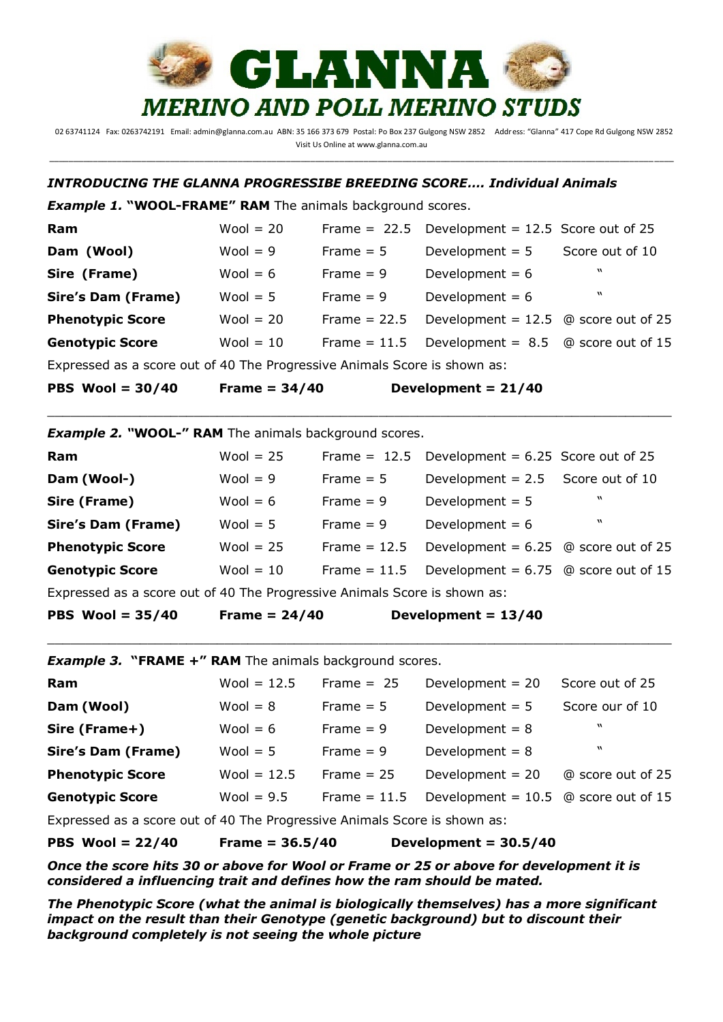

: 02 63741124 Fax: 0263742191 Email: admin@glanna.com.au ABN: 35 166 373 679 Postal: Po Box 237 Gulgong NSW 2852 Address: "Glanna" 417 Cope Rd Gulgong NSW 2852 Visit Us Online at www.glanna.com.au \_\_\_\_\_\_\_\_\_\_\_\_\_\_\_\_\_\_\_\_\_\_\_\_\_\_\_\_\_\_\_\_\_\_\_\_\_\_\_\_\_\_\_\_\_\_\_\_\_\_\_\_\_\_\_\_\_\_\_\_\_\_\_\_\_\_\_\_\_\_\_\_\_\_\_\_\_\_\_\_\_\_\_\_\_\_\_\_\_\_\_\_\_\_\_\_\_\_\_\_\_\_\_\_\_\_\_\_\_\_\_\_\_\_\_\_\_\_\_\_\_\_\_\_\_\_\_\_\_

## *INTRODUCING THE GLANNA PROGRESSIBE BREEDING SCORE…. Individual Animals*

*Example 1.* **"WOOL-FRAME" RAM** The animals background scores.

| PBS Wool = $30/40$                                                        | <b>Frame = 34/40</b> |                | Development = $21/40$                             |                  |  |  |  |
|---------------------------------------------------------------------------|----------------------|----------------|---------------------------------------------------|------------------|--|--|--|
| Expressed as a score out of 40 The Progressive Animals Score is shown as: |                      |                |                                                   |                  |  |  |  |
| <b>Genotypic Score</b>                                                    | $Wool = 10$          | Frame $= 11.5$ | Development = $8.5$ @ score out of 15             |                  |  |  |  |
| <b>Phenotypic Score</b>                                                   | Wool $= 20$          | Frame $= 22.5$ | Development = $12.5$ @ score out of 25            |                  |  |  |  |
| <b>Sire's Dam (Frame)</b>                                                 | Wool $= 5$           | $Frame = 9$    | Development = $6$                                 | $\boldsymbol{v}$ |  |  |  |
| Sire (Frame)                                                              | Wool $= 6$           | Frame $= 9$    | Development = $6$                                 | $\boldsymbol{M}$ |  |  |  |
| Dam (Wool)                                                                | Wool $= 9$           | Frame $= 5$    | Development $= 5$                                 | Score out of 10  |  |  |  |
| Ram                                                                       | $Wool = 20$          |                | Frame = $22.5$ Development = 12.5 Score out of 25 |                  |  |  |  |

\_\_\_\_\_\_\_\_\_\_\_\_\_\_\_\_\_\_\_\_\_\_\_\_\_\_\_\_\_\_\_\_\_\_\_\_\_\_\_\_\_\_\_\_\_\_\_\_\_\_\_\_\_\_\_\_\_\_\_\_\_\_\_\_\_\_\_\_\_\_\_\_\_\_\_\_\_\_\_\_\_

*Example 2. "***WOOL-" RAM** The animals background scores.

| Ram                                                                      | Wool $= 25$ |                | Frame = $12.5$ Development = $6.25$ Score out of 25 |                  |  |
|--------------------------------------------------------------------------|-------------|----------------|-----------------------------------------------------|------------------|--|
| Dam (Wool-)                                                              | $Wool = 9$  | Frame $= 5$    | Development = $2.5$ Score out of 10                 |                  |  |
| Sire (Frame)                                                             | Wool $= 6$  | Frame $= 9$    | Development = $5$                                   | W                |  |
| <b>Sire's Dam (Frame)</b>                                                | Wool $= 5$  | Frame $= 9$    | Development = $6$                                   | $\boldsymbol{M}$ |  |
| <b>Phenotypic Score</b>                                                  | Wool = $25$ | Frame $= 12.5$ | Development = $6.25$ @ score out of 25              |                  |  |
| <b>Genotypic Score</b>                                                   | $Wool = 10$ | Frame $= 11.5$ | Development = $6.75$ @ score out of 15              |                  |  |
| Expressed as a score out of 40 The Dreamerius Animals Score is shown as: |             |                |                                                     |                  |  |

Expressed as a score out of 40 The Progressive Animals Score is shown as:

**PBS Wool = 35/40 Frame = 24/40 Development = 13/40**

*Example 3.* **"FRAME +" RAM** The animals background scores.

| Ram                       | Wool = $12.5$ | Frame $= 25$   | Development = $20$                     | Score out of 25   |
|---------------------------|---------------|----------------|----------------------------------------|-------------------|
| Dam (Wool)                | $Wool = 8$    | Frame $= 5$    | Development = $5$                      | Score our of 10   |
| Sire (Frame+)             | Wool $= 6$    | Frame $= 9$    | Development = $8$                      | W                 |
| <b>Sire's Dam (Frame)</b> | Wool $= 5$    | Frame $= 9$    | Development = $8$                      | $\boldsymbol{M}$  |
| <b>Phenotypic Score</b>   | $Wool = 12.5$ | Frame $= 25$   | Development = $20$                     | @ score out of 25 |
| <b>Genotypic Score</b>    | Wool = $9.5$  | Frame $= 11.5$ | Development = $10.5$ @ score out of 15 |                   |
|                           |               |                |                                        |                   |

\_\_\_\_\_\_\_\_\_\_\_\_\_\_\_\_\_\_\_\_\_\_\_\_\_\_\_\_\_\_\_\_\_\_\_\_\_\_\_\_\_\_\_\_\_\_\_\_\_\_\_\_\_\_\_\_\_\_\_\_\_\_\_\_\_\_\_\_\_\_\_\_\_\_\_\_\_\_\_\_\_

Expressed as a score out of 40 The Progressive Animals Score is shown as:

**PBS Wool = 22/40 Frame = 36.5/40 Development = 30.5/40**

*Once the score hits 30 or above for Wool or Frame or 25 or above for development it is considered a influencing trait and defines how the ram should be mated.* 

*The Phenotypic Score (what the animal is biologically themselves) has a more significant impact on the result than their Genotype (genetic background) but to discount their background completely is not seeing the whole picture*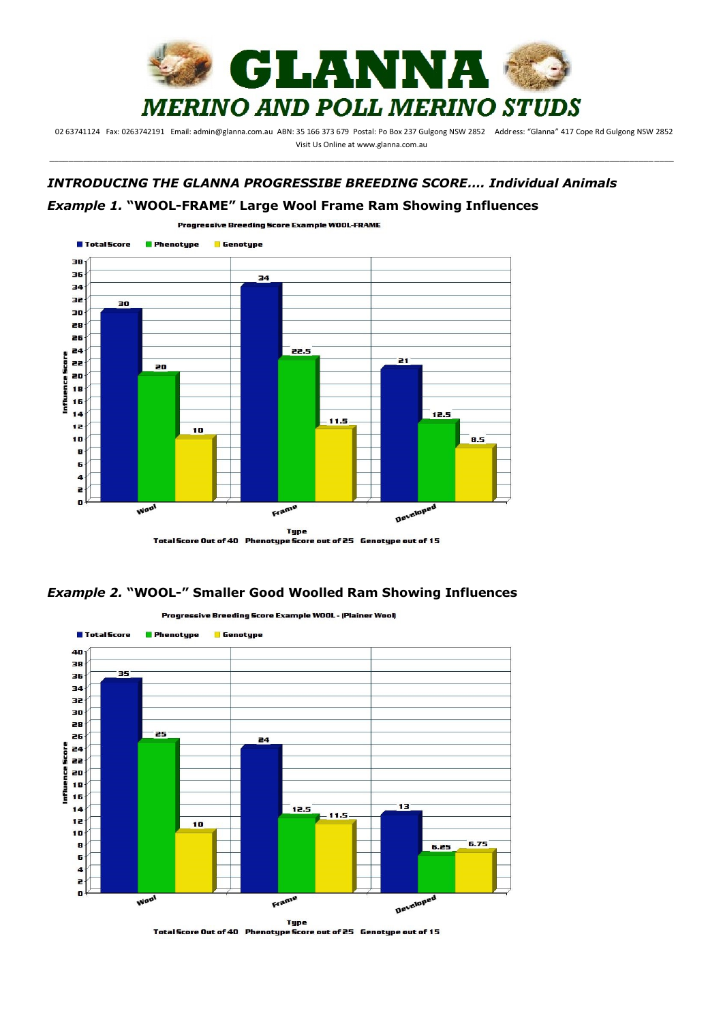

: 02 63741124 Fax: 0263742191 Email: admin@glanna.com.au ABN: 35 166 373 679 Postal: Po Box 237 Gulgong NSW 2852 Address: "Glanna" 417 Cope Rd Gulgong NSW 2852 Visit Us Online at www.glanna.com.au \_\_\_\_\_\_\_\_\_\_\_\_\_\_\_\_\_\_\_\_\_\_\_\_\_\_\_\_\_\_\_\_\_\_\_\_\_\_\_\_\_\_\_\_\_\_\_\_\_\_\_\_\_\_\_\_\_\_\_\_\_\_\_\_\_\_\_\_\_\_\_\_\_\_\_\_\_\_\_\_\_\_\_\_\_\_\_\_\_\_\_\_\_\_\_\_\_\_\_\_\_\_\_\_\_\_\_\_\_\_\_\_\_\_\_\_\_\_\_\_\_\_\_\_\_\_\_\_\_

## *INTRODUCING THE GLANNA PROGRESSIBE BREEDING SCORE…. Individual Animals Example 1.* **"WOOL-FRAME" Large Wool Frame Ram Showing Influences**